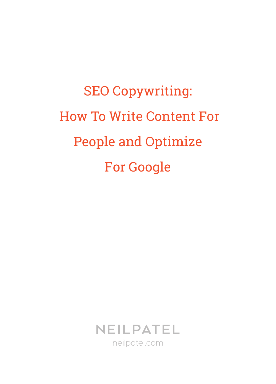SEO Copywriting: How To Write Content For People and Optimize For Google

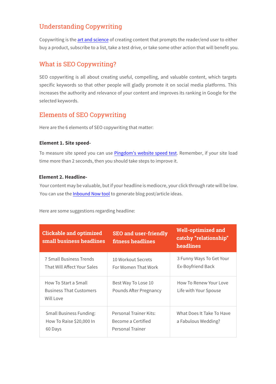# Understanding Copywriting

Copywriting is the art and science of creating content that prompts the reader/end user to either buy a product, subscribe to a list, take a test drive, or take some other action that will benefit you.

## What is SEO Copywriting?

SEO copywriting is all about creating useful, compelling, and valuable content, which targets specific keywords so that other people will gladly promote it on social media platforms. This increases the authority and relevance of your content and improves its ranking in Google for the selected keywords.

## Elements of SEO Copywriting

Here are the 6 elements of SEO copywriting that matter:

## **Element 1. Site speed-**

To measure site speed you can use Pingdom's website speed test. Remember, if your site load time more than 2 seconds, then you should take steps to improve it.

### **Element 2. Headline-**

Your content may be valuable, but if your headline is mediocre, your click through rate will be low. You can use the *Inbound Now tool* to generate blog post/article ideas.

Here are some suggestions regarding headline:

| <b>Clickable and optimized</b><br>small business headlines            | <b>SEO and user-friendly</b><br>fitness headlines                | <b>Well-optimized and</b><br>catchy "relationship"<br>headlines |
|-----------------------------------------------------------------------|------------------------------------------------------------------|-----------------------------------------------------------------|
| <b>7 Small Business Trends</b><br>That Will Affect Your Sales         | 10 Workout Secrets<br>For Women That Work                        | 3 Funny Ways To Get Your<br>Ex-Boyfriend Back                   |
| How To Start a Small<br><b>Business That Customers</b><br>Will Love   | Best Way To Lose 10<br>Pounds After Pregnancy                    | How To Renew Your Love<br>Life with Your Spouse                 |
| <b>Small Business Funding:</b><br>How To Raise \$20,000 In<br>60 Days | Personal Trainer Kits:<br>Become a Certified<br>Personal Trainer | What Does It Take To Have<br>a Fabulous Wedding?                |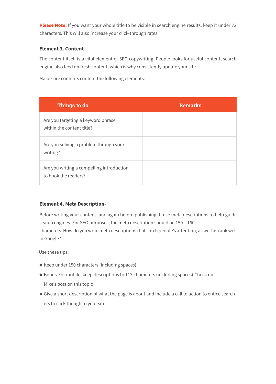**Please Note:** If you want your whole title to be visible in search engine results, keep it under 72 characters. This will also increase your click-through rates.

### **Element 3. Content-**

The content itself is a vital element of SEO copywriting. People looks for useful content, search engine also feed on fresh content, which is why consistently update your site.

Make sure contents content the following elements:

| Things to do                                                      | <b>Remarks</b> |
|-------------------------------------------------------------------|----------------|
| Are you targeting a keyword phrase<br>within the content title?   |                |
| Are you solving a problem through your<br>writing?                |                |
| Are you writing a compelling introduction<br>to hook the readers? |                |

## **Element 4. Meta Description-**

Before writing your content, and again before publishing it, use meta descriptions to help guide search engines. For SEO purposes, the meta description should be 150 – 160 characters. How do you write meta descriptions that catch people's attention, as well as rank well in Google?

Use these tips:

- Keep under 150 characters (including spaces).
- Bonus-For mobile, keep descriptions to 113 characters (including spaces).Check out Mike's post on this topic
- Give a short description of what the page is about and include a call to action to entice searchers to click though to your site.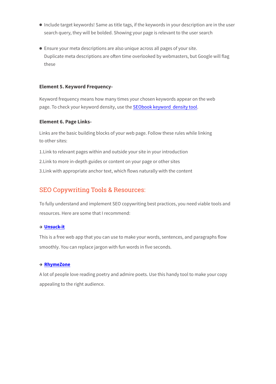- Include target keywords! Same as title tags, if the keywords in your description are in the user search query, they will be bolded. Showing your page is relevant to the user search
- Ensure your meta descriptions are also unique across all pages of your site. Duplicate meta descriptions are often time overlooked by webmasters, but Google will flag these

#### **Element 5. Keyword Frequency-**

Keyword frequency means how many times your chosen keywords appear on the web page. To check your keyword density, use the SEObook keyword density tool.

#### **Element 6. Page Links-**

Links are the basic building blocks of your web page. Follow these rules while linking to other sites:

1.Link to relevant pages within and outside your site in your introduction

2.Link to more in-depth guides or content on your page or other sites

3.Link with appropriate anchor text, which flows naturally with the content

## SEO Copywriting Tools & Resources:

To fully understand and implement SEO copywriting best practices, you need viable tools and resources. Here are some that I recommend:

#### **Unsuck-it**

This is a free web app that you can use to make your words, sentences, and paragraphs flow smoothly. You can replace jargon with fun words in five seconds.

#### **RhymeZone**

A lot of people love reading poetry and admire poets. Use this handy tool to make your copy appealing to the right audience.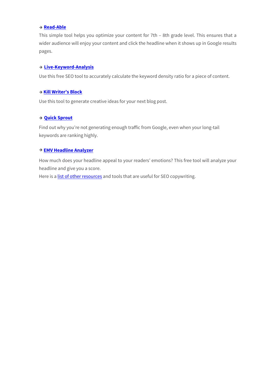#### **Read-Able**

This simple tool helps you optimize your content for 7th – 8th grade level. This ensures that a wider audience will enjoy your content and click the headline when it shows up in Google results pages.

#### **Live-Keyword-Analysis**

Use this free SEO tool to accurately calculate the keyword density ratio for a piece of content.

#### **Kill Writer's Block**

Use this tool to generate creative ideas for your next blog post.

#### **[Quick Sprout](http://www.quicksprout.com/)**

Find out why you're not generating enough traffic from Google, even when your long-tail keywords are ranking highly.

#### **[EMV Headline Analyzer](http://www.aminstitute.com/headline/)**

How much does your headline appeal to your readers' emotions? This free tool will analyze your headline and give you a score.

Here is a [list of other resources](http://writtent.com/blog/15-must-tools-professional-copywriters/) and tools that are useful for SEO copywriting.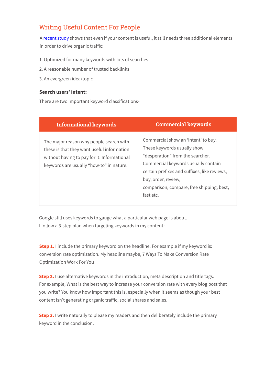# Writing Useful Content For People

A [recent study](http://www.quicksprout.com/2014/10/31/how-to-create-content-that-drives-lots-of-organic-traffic/) shows that even if your content is useful, it still needs three additional elements in order to drive organic traffic:

- 1. Optimized for many keywords with lots of searches
- 2. A reasonable number of trusted backlinks
- 3. An evergreen idea/topic

### **Search users' intent:**

There are two important keyword classifications-

| <b>Informational keywords</b>                                                                                                                                                    | <b>Commercial keywords</b>                                                                                                                                                                                                                                                     |
|----------------------------------------------------------------------------------------------------------------------------------------------------------------------------------|--------------------------------------------------------------------------------------------------------------------------------------------------------------------------------------------------------------------------------------------------------------------------------|
| The major reason why people search with<br>these is that they want useful information<br>without having to pay for it. Informational<br>keywords are usually "how-to" in nature. | Commercial show an 'intent' to buy.<br>These keywords usually show<br>"desperation" from the searcher.<br>Commercial keywords usually contain<br>certain prefixes and suffixes, like reviews,<br>buy, order, review,<br>comparison, compare, free shipping, best,<br>fast etc. |

Google still uses keywords to gauge what a particular web page is about. I follow a 3-step plan when targeting keywords in my content:

**Step 1.** I include the primary keyword on the headline. For example if my keyword is: conversion rate optimization. My headline maybe, 7 Ways To Make Conversion Rate Optimization Work For You

**Step 2.** I use alternative keywords in the introduction, meta description and title tags. For example, What is the best way to increase your conversion rate with every blog post that you write? You know how important this is, especially when it seems as though your best content isn't generating organic traffic, social shares and sales.

**Step 3.** I write naturally to please my readers and then deliberately include the primary keyword in the conclusion.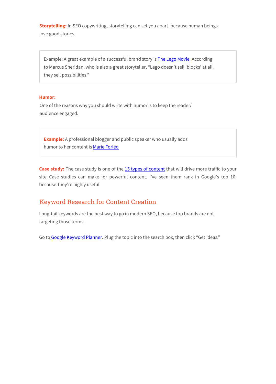**Storytelling:** In SEO copywriting, storytelling can set you apart, because human beings love good stories.

Example: A great example of a successful brand story is [The Lego Movie.](http://www.imdb.com/title/tt1490017/) According to Marcus Sheridan, who is also a great storyteller, "Lego doesn't sell 'blocks' at all, they sell possibilities."

#### **Humor:**

One of the reasons why you should write with humor is to keep the reader/ audience engaged.

**Example:** A professional blogger and public speaker who usually adds humor to her content is [Marie Forleo](http://www.marieforleo.com/)

Case study: The case study is one of the [15 types of content](http://www.quicksprout.com/2014/04/14/how-these-15-types-of-content-will-drive-you-more-traffic/) that will drive more traffic to your site. Case studies can make for powerful content. I've seen them rank in Google's top 10, because they're highly useful.

## Keyword Research for Content Creation

Long-tail keywords are the best way to go in modern SEO, because top brands are not targeting those terms.

Go to [Google Keyword Planner.](http://google.com/sktool/) Plug the topic into the search box, then click "Get Ideas."